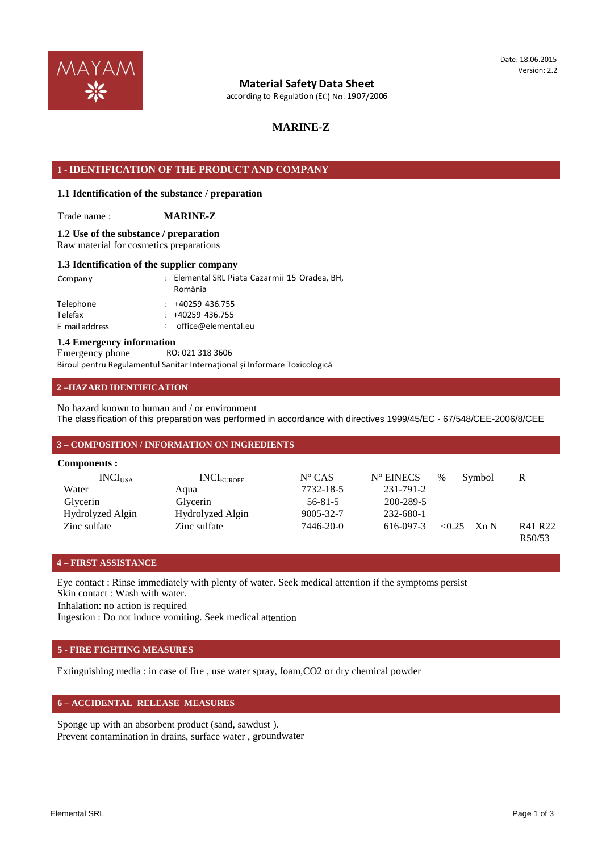

## **Material SafetyData Sheet**

according to Regulation (EC) No. 1907/2006

## **MARINE-Z**

## **1 - IDENTIFICATION OF THE PRODUCT AND COMPANY**

### **1.1 Identification of the substance / preparation**

Trade name : **MARINE-Z**

### Raw material for cosmetics preparations **1.2 Use of the substance / preparation**

#### **1.3 Identification of the supplier company**

| Company                                | : Elemental SRL Piata Cazarmii 15 Oradea, BH,<br>România      |
|----------------------------------------|---------------------------------------------------------------|
| Telephone<br>Telefax<br>E mail address | $: +40259436.755$<br>$: +40259436.755$<br>office@elemental.eu |
|                                        |                                                               |

#### **1.4 Emergency information**

Biroul pentru Regulamentul Sanitar Internațional și Informare Toxicologică RO: 021 318 3606 Emergency phone

## **2 –HAZARD IDENTIFICATION**

The classification of this preparation was performed in accordance with directives 1999/45/EC - 67/548/CEE-2006/8/CEE No hazard known to human and / or environment

#### **3 – COMPOSITION / INFORMATION ON INGREDIENTS**

| Components :        |                        |                 |                    |        |        |                   |
|---------------------|------------------------|-----------------|--------------------|--------|--------|-------------------|
| INCI <sub>USA</sub> | INCI <sub>EUROPE</sub> | $N^{\circ}$ CAS | $N^{\circ}$ EINECS | $\%$   | Symbol | R                 |
| Water               | Aqua                   | 7732-18-5       | 231-791-2          |        |        |                   |
| Glycerin            | Glycerin               | $56 - 81 - 5$   | 200-289-5          |        |        |                   |
| Hydrolyzed Algin    | Hydrolyzed Algin       | 9005-32-7       | 232-680-1          |        |        |                   |
| Zinc sulfate        | Zinc sulfate           | 7446-20-0       | 616-097-3          | < 0.25 | Xn N   | R41 R22<br>R50/53 |

## **4 – FIRST ASSISTANCE**

Skin contact : Wash with water. Eye contact : Rinse immediately with plenty of water. Seek medical attention if the symptoms persist

Inhalation: no action is required

Ingestion : Do not induce vomiting. Seek medical attention

## **5 - FIRE FIGHTING MEASURES**

Extinguishing media : in case of fire , use water spray, foam,CO2 or dry chemical powder

## **6 – ACCIDENTAL RELEASE MEASURES**

Sponge up with an absorbent product (sand, sawdust ). Prevent contamination in drains, surface water , groundwater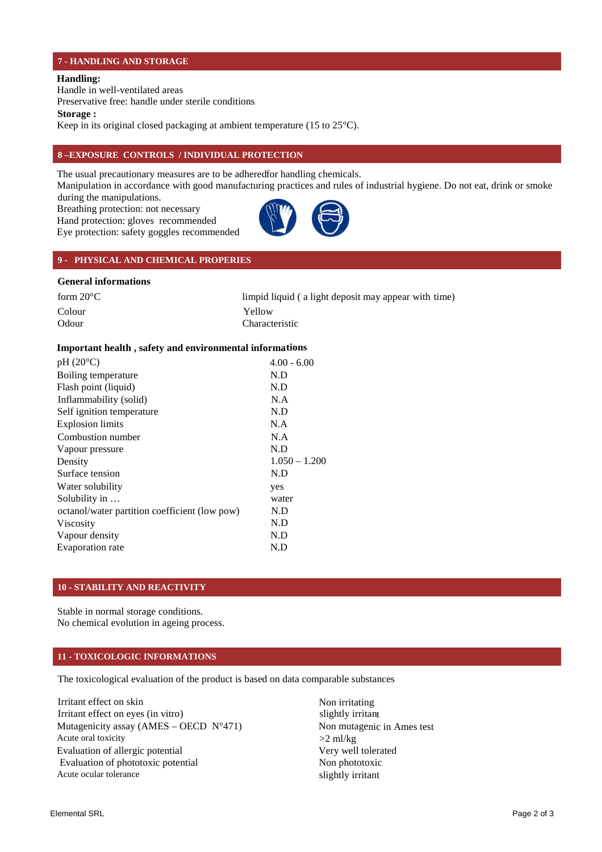### **7 - HANDLING AND STORAGE**

### **Handling:**

Handle in well-ventilated areas

Preservative free: handle under sterile conditions

**Storage :** 

Keep in its original closed packaging at ambient temperature (15 to 25°C).

## **8 –EXPOSURE CONTROLS / INDIVIDUAL PROTECTION**

The usual precautionary measures are to be adhered for handling chemicals.

Manipulation in accordance with good manufacturing practices and rules of industrial hygiene. Do not eat, drink or smoke

Eye protection: safety goggles recommended Hand protection: gloves recommended Breathing protection: not necessary during the manipulations.



## **9 - PHYSICAL AND CHEMICAL PROPERIES**

## **General informations**

| form $20^{\circ}$ C | limpid liquid (a light deposit may appear with time) |
|---------------------|------------------------------------------------------|
| Colour              | Yellow                                               |
| Odour               | <b>Characteristic</b>                                |

## **Important health , safety and environmental informations**

| $pH(20^{\circ}C)$                             | $4.00 - 6.00$   |
|-----------------------------------------------|-----------------|
| Boiling temperature                           | N.D             |
| Flash point (liquid)                          | N.D             |
| Inflammability (solid)                        | N.A             |
| Self ignition temperature                     | N.D             |
| <b>Explosion limits</b>                       | N.A             |
| Combustion number                             | N.A             |
| Vapour pressure                               | N.D             |
| Density                                       | $1.050 - 1.200$ |
| Surface tension                               | N.D             |
| Water solubility                              | yes             |
| Solubility in                                 | water           |
| octanol/water partition coefficient (low pow) | N.D             |
| <b>Viscosity</b>                              | N.D             |
| Vapour density                                | N.D             |
| Evaporation rate                              | N.D             |
|                                               |                 |

## **10 - STABILITY AND REACTIVITY**

No chemical evolution in ageing process. Stable in normal storage conditions.

## **11 - TOXICOLOGIC INFORMATIONS**

The toxicological evaluation of the product is based on data comparable substances

Acute ocular tolerance slightly irritant Evaluation of phototoxic potential Non phototoxic Evaluation of allergic potential Very well tolerated Acute oral toxicity  $>2$  ml/kg Mutagenicity assay  $(AMES - OECD \t N^2471)$  Non mutagenic in Ames test Irritant effect on eyes (in vitro) slightly irritant Irritant effect on skin Non irritating